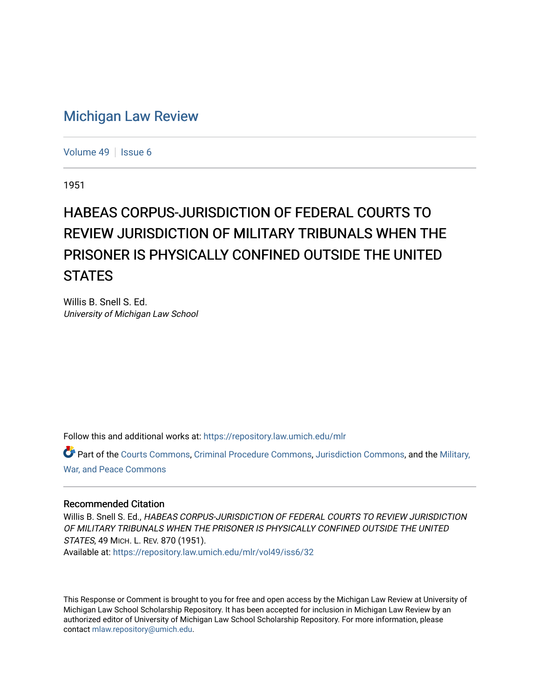# [Michigan Law Review](https://repository.law.umich.edu/mlr)

[Volume 49](https://repository.law.umich.edu/mlr/vol49) | [Issue 6](https://repository.law.umich.edu/mlr/vol49/iss6)

1951

# HABEAS CORPUS-JURISDICTION OF FEDERAL COURTS TO REVIEW JURISDICTION OF MILITARY TRIBUNALS WHEN THE PRISONER IS PHYSICALLY CONFINED OUTSIDE THE UNITED **STATES**

Willis B. Snell S. Ed. University of Michigan Law School

Follow this and additional works at: [https://repository.law.umich.edu/mlr](https://repository.law.umich.edu/mlr?utm_source=repository.law.umich.edu%2Fmlr%2Fvol49%2Fiss6%2F32&utm_medium=PDF&utm_campaign=PDFCoverPages) 

Part of the [Courts Commons,](https://network.bepress.com/hgg/discipline/839?utm_source=repository.law.umich.edu%2Fmlr%2Fvol49%2Fiss6%2F32&utm_medium=PDF&utm_campaign=PDFCoverPages) [Criminal Procedure Commons,](https://network.bepress.com/hgg/discipline/1073?utm_source=repository.law.umich.edu%2Fmlr%2Fvol49%2Fiss6%2F32&utm_medium=PDF&utm_campaign=PDFCoverPages) [Jurisdiction Commons,](https://network.bepress.com/hgg/discipline/850?utm_source=repository.law.umich.edu%2Fmlr%2Fvol49%2Fiss6%2F32&utm_medium=PDF&utm_campaign=PDFCoverPages) and the [Military,](https://network.bepress.com/hgg/discipline/861?utm_source=repository.law.umich.edu%2Fmlr%2Fvol49%2Fiss6%2F32&utm_medium=PDF&utm_campaign=PDFCoverPages) [War, and Peace Commons](https://network.bepress.com/hgg/discipline/861?utm_source=repository.law.umich.edu%2Fmlr%2Fvol49%2Fiss6%2F32&utm_medium=PDF&utm_campaign=PDFCoverPages) 

#### Recommended Citation

Willis B. Snell S. Ed., HABEAS CORPUS-JURISDICTION OF FEDERAL COURTS TO REVIEW JURISDICTION OF MILITARY TRIBUNALS WHEN THE PRISONER IS PHYSICALLY CONFINED OUTSIDE THE UNITED STATES, 49 MICH. L. REV. 870 (1951). Available at: [https://repository.law.umich.edu/mlr/vol49/iss6/32](https://repository.law.umich.edu/mlr/vol49/iss6/32?utm_source=repository.law.umich.edu%2Fmlr%2Fvol49%2Fiss6%2F32&utm_medium=PDF&utm_campaign=PDFCoverPages) 

This Response or Comment is brought to you for free and open access by the Michigan Law Review at University of Michigan Law School Scholarship Repository. It has been accepted for inclusion in Michigan Law Review by an authorized editor of University of Michigan Law School Scholarship Repository. For more information, please contact [mlaw.repository@umich.edu](mailto:mlaw.repository@umich.edu).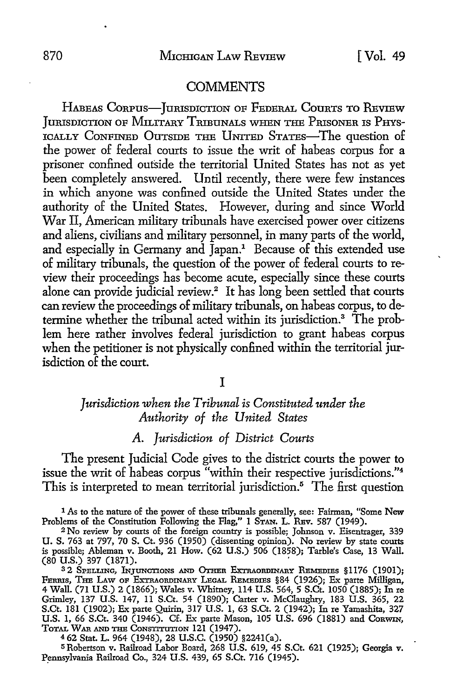#### **COMMENTS**

HABEAS CORPUS-JURISDICTION OF FEDERAL COURTS TO REVIEW JURISDICTION OF MILITARY TRIBUNALS WHEN THE PRISONER IS PHYS-ICALLY CONFINED OUTSIDE THE UNITED STATES-The question of the power of federal courts to issue the writ of habeas corpus for a prisoner confined outside the territorial United States has not as yet been completely answered. Until recently, there were few instances in which anyone was confined outside the United States under the authority of the United States. However, during and since World War II, American military tribunals have exercised power over citizens and aliens, civilians and military personnel, in many parts of the world, and especially in Germany and Japan.<sup>1</sup> Because of this extended use of military tribunals, the question of the power of federal courts to review their proceedings has become acute, especially since these courts alone can provide judicial review.<sup>2</sup> It has long been settled that courts can review the proceedings of military tribunals, on habeas corpus, to determine whether the tribunal acted within its jurisdiction.3 The problem here rather involves federal jurisdiction to grant habeas corpus when the petitioner is not physically confined within the territorial jurisdiction of the court.

I

# *Jurisdiction when the Tribunal is Constituted under the Authority of the United States*

# *A. Jurisdiction of District Courts*

The present Judicial Code gives to the district courts the power to issue the writ of habeas corpus "within their respective jurisdictions."<sup>4</sup> This is interpreted to mean territorial jurisdiction.<sup>5</sup> The first question

1 As to the nature of the power of these tribunals generally, see: Fairman, "Some New Problems of the Constitution Following the Flag," 1 STAN. L. REV. 587 (1949).

<sup>2</sup>No review by courts of the foreign country is possible; Johnson v. Eisentrager, 339 U. S. 763 at 797, 70 S. Ct. 936 (1950) (dissenting opinion). No review by state courts is possible; Ableman v. Booth, 21 How. (62 U.S.) 506 (1858); Tarble's Case, 13 Wall. (80 U.S.) 397 (1871). '

32 SPELLING, INJUNCTIONS AND OTHER EXTRAORDINARY REMEDIES §1176 (1901); FERRIS, THE LAw OF EXTRAORDINARY LEGAL REMEDIES §84 (1926); Ex parte Milligan, 4 Wall. (71 U.S.) 2 (1866); Wales v. Whitney, 114 U.S. 564, 5 S.Ct. 1050 (1885); In re Grimley, 137 U.S. 147, 11 S.Ct. 54 (1890); Carter v. McClaughry, 183 U.S. 365, 22 S.Ct. 181 (1902); Ex parte Quirin, 317 U.S. 1, 63 S.Ct. 2 (1942); In re Yamashita, 327 U.S. 1, 66 S.Ct. 340 (1946). Cf. Ex parte Mason, 105 U.S. 696 (1881) and CoRWIN, TOTAL WAR .AND THE CoNSTITUTION 121 (1947).

<sup>4</sup>62 Stat. L. 964 (1948), 28 U.S.C. (1950) §2241(a).

<sup>5</sup>Robertson v. Railroad Labor Board, 268 U.S. 619, 45 S.Ct. 621 (1925); Georgia v. Pennsylvania Railroad Co., 324 U.S. 439, 65 S.Ct. 716 (1945).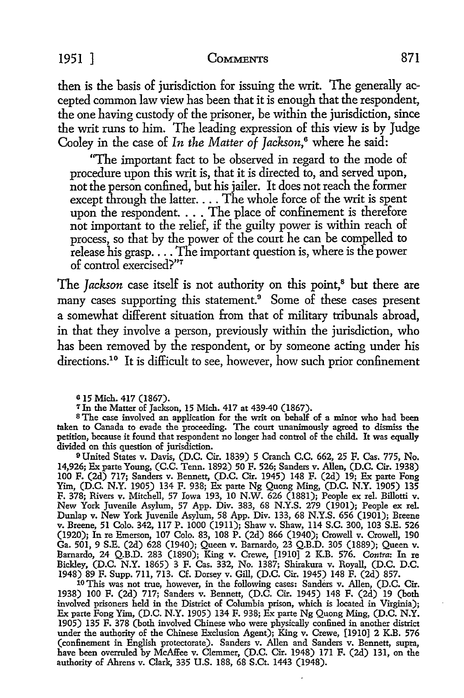the writ runs to him. The leading expression of this view is by Judge Cooley in the case of *In the Matter of Jackson,6* where he said:

then is the basis of jurisdiction for issuing the writ. The generally accepted common law view has been that it is enough that the respondent, the one having custody of the prisoner, be within the jurisdiction, since

"The important fact to be observed in regard to the mode of procedure upon this writ is, that it is directed to, and served upon, not the person confined, but his jailer. It does not reach the former except through the latter.... The whole force of the writ is spent upon the respondent. . . . The place of confinement is therefore not important to the relief, if the guilty power is within reach of process, so that by the power of the court he can be compelled to release his grasp .... The important question is, where is the power of control exercised?"<sup>7</sup>

The *Jackson* case itself is not authority on this point,<sup>8</sup> but there are many cases supporting this statement.<sup>9</sup> Some of these cases present a somewhat different situation from that of military tribunals abroad, in that they involve a person, previously within the jurisdiction, who has been removed by the respondent, or by someone acting under his directions.<sup>10</sup> It is difficult to see, however, how such prior confinement

s The case involved an application for the writ on behalf of a minor who had been taken to Canada to evade the proceeding. The court unanimously agreed to dismiss the petition, because it found that respondent no longer had control of the child. It was equally divided on this question of jurisdiction.

<sup>9</sup> United States v. Davis, (D.C. Cir. 1839) 5 Cranch C.C. 662, 25 F. Cas. 775, No. 14,926; Ex parte Young, (C.C. Tenn. 1892) 50 F. 526; Sanders v. Allen, (D.C. Cir. 1938) 100 F. (2d) 717; Sanders v. Bennett, (D.C. Cir. 1945) 148 F. (2d) 19; Ex parte Fong Yim, (D.C. N.Y. 1905) 134 F. 938; Ex parte Ng Quong Ming, (D.C. N.Y. 1905) 135 F. 378; Rivers v. Mitchell, 57 Iowa 193, 10 N.W. 626 (1881); People ex rel. Billotti v. New York Juvenile Asylum, 57 App. Div. 383, 68 N.Y.S. 279 (1901); People ex rel. Dunlap v. New York Juvenile Asylum, 58 App. Div. 133, 68 N.Y.S. 656 (1901); Breene v. Breene, 51 Colo. 342, 117 P. 1000 (1911); Shaw v. Shaw, 114 S.C. 300, 103 S.E. 526 (1920); In re Emerson, 107 Colo. 83, 108 P. (2d) 866 (1940); Crowell v. Crowell, 190 Ga. 501, 9 S.E. (2d) 628 (1940); Queen v. Bamardo, 23 Q.B.D. 305 (1889); Queen v. Bamardo, 24 Q.B.D. 283 (1890); King v. Crewe, [1910] 2 K.B. 576. *Contra:* In re Bickley, (D.C. N.Y. 1865) 3 F. Cas. 332, No. 1387; Shirakura v. Royall, (D.C. D.C. 1948) 89 F. Supp. 711, 713. Cf. Dorsey v. Gill, (D.C. Cir. 1945) 148 F. (2d) 857.

10 This was not true, however, in the following cases: Sanders v. Allen, (D.C. Cir. 1938) 100 F. (2d) 717; Sanders v. Bennett, (D.C. Cir. 1945) 148 F. (2d) 19 (both involved prisoners held in the District of Columbia prison, which is located in Virginia); Ex parte Fong Yim, (D.C. N.Y. 1905) 134 F. 938; Ex parte Ng Quong Ming, (D.C. N.Y. 1905) 135 F. 378 (both involved Chinese who were physically confined in another district under the authority of the Chinese Exclusion Agent); King v. Crewe, [1910] 2 K.B. 576 (confinement in English protectorate). Sanders v. Allen and Sanders v. Bennett, supra, have been overruled by McAffee v. Clemmer, (D.C. Cir. 1948) 171 F. (2d) 131, on the authority of Ahrens v. Clark, 335 U.S. 188, 68 S.Ct. 1443 (1948).

e 15 Mich. 417 (1867).

<sup>&#</sup>x27;l'Jn the Matter of Jackson, 15 Mich. 417 at 439-40 (1867).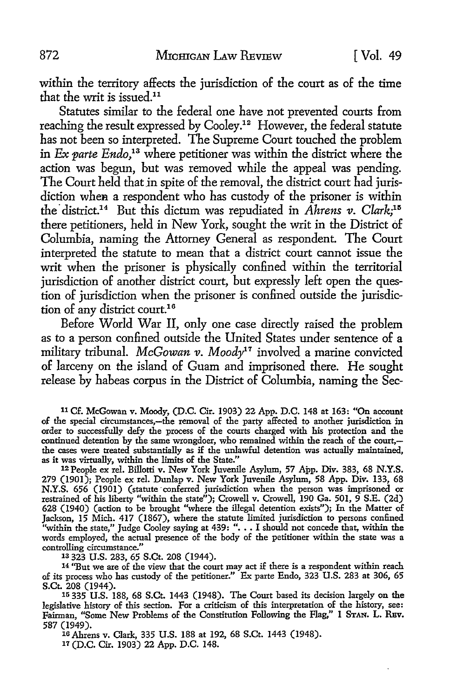within the territory affects the jurisdiction of the court as of the time that the writ is issued.<sup>11</sup>

Statutes similar to the federal one have not prevented courts from reaching the result expressed by Cooley.12 However, the federal statute has not been so interpreted. The Supreme Court touched the problem in *Ex parte Endo*,<sup>13</sup> where petitioner was within the district where the action was begun, but was removed while the appeal was pending. The Court held that in spite of the removal, the district court had jurisdiction when a respondent who has custody of the prisoner is within the district.<sup>14</sup> But this dictum was repudiated in *Ahrens v*. Clark;<sup>15</sup> there petitioners, held in New York, sought the writ in the District of Columbia, naming the Attorney General as respondent. The Court interpreted the statute to mean that a district court cannot issue the writ when the prisoner is physically confined within the territorial jurisdiction of another district court, but expressly left open the question of jurisdiction when the prisoner is confined outside the jurisdiction of any district court.<sup>16</sup>

Before World War II, only one case directly raised the problem as to a person confined outside the United States under sentence of a military tribunal. *McGowan v. Moody11* involved a marine convicted of larceny on the island of Guam and imprisoned there. He sought release by habeas corpus in the District of Columbia, naming the Sec-

<sup>11</sup>Cf. McGowan v. Moody, (D.C. Cir. 1903) 22 App. D.C. 148 at 163: "On account of the special circumstances,-the removal of the party affected to another jurisdiction in order to successfully defy the process of the courts charged with his protection and the continued detention by the same wrongdoer, who remained within the reach of the court, the cases were treated substantially as if the unlawful detention was actually maintained, as it was virtually, within the limits of the State."

12 People ex rel. Billotti v. New York Juvenile Asylum, 57 App. Div. 383, 68 N.Y.S. 279 (1901); People ex rel. Dunlap v. New York Juvenile Asylum, 58 App. Div. 133, 68 N.Y.S. 656 (1901) (statute 'conferred jurisdiction when the person was imprisoned or restrained of his liberty "within the state"); Crowell v. Crowell, 190 Ga. 501, 9 S.E. (2d) 628 (1940) (action to be brought "where the illegal detention exists"); In the Matter of Jackson, 15 Mich. 417 (1867), where the statute limited jurisdiction to persons confined "within the state," Judge Cooley saying at 439: ". . . I should not concede that, within the words employed, the actual presence of the body of the petitioner within the state was a controlling circumstance." 13 323 U.S. 283, 65 S.Ct. 208 (1944).

14 "But we are of the view that the court may act if there is a respondent within reach of its process who has custody of the petitioner." Ex parte Endo, 323 U.S. 283 at 306, 65 S.Ct. 208 (1944).

15 335 U.S. 188, 68 S.Ct. 1443 (1948). The Court based its decision largely on the legislative history of this section. For a criticism of this interpretation of the history, see: Fairman, "Some New Problems of the Constitution Following the Flag," 1 STAN. L. RBV. 587 (1949).

16 Ahrens v. Clark, 335 U.S. 188 at 192, 68 S.Ct. 1443 (1948). *11* (D.C. Cir. 1903) 22 App. D.C. 148.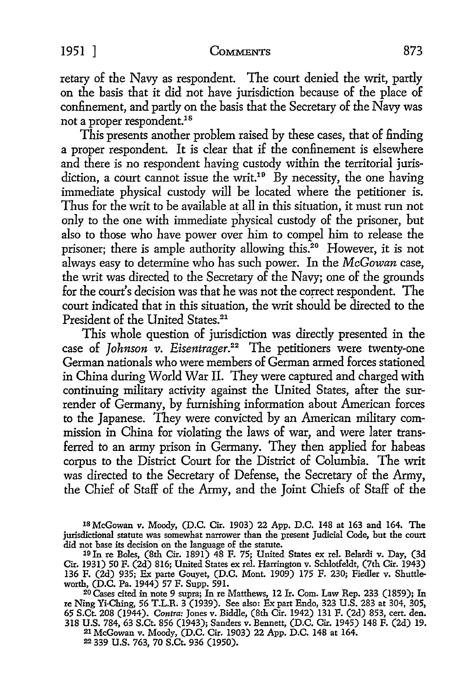retary of the Navy as respondent. The court denied the writ, partly on the basis that it did not have jurisdiction because of the place of confinement, and partly on the basis that the Secretary of the Navy was not a proper respondent.<sup>18</sup>

This presents another problem raised by these cases, that of finding a proper respondent. It is clear that if the confinement is elsewhere and there is no respondent having custody within the territorial jurisdiction, a court cannot issue the writ.<sup>19</sup> By necessity, the one having immediate physical custody will be located where the petitioner is. Thus for the writ to be available at all in this situation, it must run not only to the one with immediate physical custody of the prisoner, but also to those who have power over him to compel him to release the prisoner; there is ample authority allowing this.<sup>20</sup> However, it is not always easy to determine who has such power. In the *McGowan* case, the writ was directed to the Secretary of the Navy; one of the grounds for the court's decision was that he was not the correct respondent. The court indicated that in this situation, the writ should be directed to the President of the United States.<sup>21</sup>

This whole question of jurisdiction was directly presented in the case of *Johnson v. Eisentrager.*<sup>22</sup> The petitioners were twenty-one German nationals who were members of German armed forces stationed in China during World War II. They were captured and charged with continuing military activity against the United States, after the surrender of Germany, by furnishing information about American forces to the Japanese. They were convicted by an American military commission in China for violating the laws of war, and were later transferred *to* an army prison in Germany. They then applied for habeas corpus to the District Court for the District of Columbia. The writ was directed to the Secretary of Defense, the Secretary of the Army, the Chief of Staff of the Army, and the Joint Chiefs of Staff of the

1s McGowan v. Moody, (D.C. Cir. 1903) 22 App. D.C. 148 at 163 and 164. The jurisdictional statute was somewhat narrower than the present Judicial Code, but the court did not base its decision on the language of the statute. <sup>19</sup>In re Boles, (8th Cir. 1891) 48 F. 75; United States ex rel. Belardi v. Day, (3d

Cir. 1931) 50 F. (2d) 816; United States ex rel. Harrington v. Schlotfeldt, (7th Cir. 1943) 136 F. (2d) 935; Ex parte Gouyet, (D.C. Mont. 1909) 175 F. 230; Fiedler v. Shuttleworth, (D.C. Pa. 1944) 57 F. Supp. 591.

20 Cases cited in note 9 supra; In re Matthews, 12 Ir. Com. Law Rep. 233 (1859); In re Ning Yi-Ching, 56 T.L.R. 3 (1939). See also: Ex part Endo, 323 U.S. 283 at 304, 305, 65 S.Ct. 208 (1944). *Contra:* Jones v. Biddle, (8th Cir. 1942) 131 F. (2d) 853, cert. den. 318 U.S. 784, 63 S.Ct. 856 (1943); Sanders v. Bennett, (D.C. Cir. 1945) 148 F. (2d) 19. 21 McGowan v. Moody, (D.C. Cir. 1903) 22 App. D.C. 148 at 164. 22 339 U.S. 763, 70 S.Ct. 936 (1950).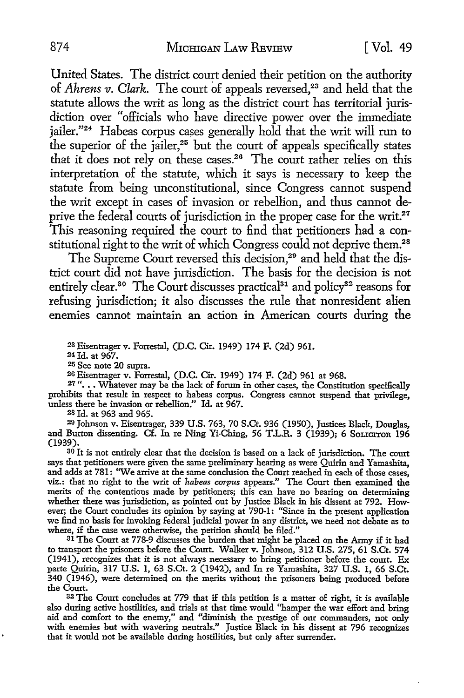United States. The district court denied their petition on the authority of *Ahrens v. Clark.* The court of appeals reversed,<sup>23</sup> and held that the statute allows the writ as long as the district court has territorial jurisdiction over "officials who have directive power over the immediate  $\mu$  iailer."<sup>24</sup> Habeas corpus cases generally hold that the writ will run to the superior of the jailer, $25$  but the court of appeals specifically states that it does not rely on these cases.26 The court rather relies on this interpretation of the statute, which it says is necessary to keep the statute from being unconstitutional, since Congress cannot suspend the writ except in cases of invasion or rebellion, and thus cannot deprive the federal courts of jurisdiction in the proper case for the writ.<sup>27</sup> This reasoning required the court to find that petitioners had a constitutional right to the writ of which Congress could not deprive them.<sup>28</sup>

The Supreme Court reversed this decision.<sup>29</sup> and held that the district court did not have jurisdiction. The basis for the decision is not entirely clear.<sup>30</sup> The Court discusses practical<sup>31</sup> and policy<sup>32</sup> reasons for refusing jurisdiction; it also discusses the rule that nonresident alien enemies cannot maintain an action in American courts during the

<sup>23</sup>Eisentrager v. Forrestal, (D.C. Cir. 1949) 174 F. (2d) 961. 24 Id. at 967.

<sup>25</sup>See note 20 supra.

26 Eisentrager v. Forrestal, (D.C. Cir. 1949) 174 F. (2d) 961 at 968.

27 "... Whatever may be the lack of forum in other cases, the Constitution specifically prohibits that result in respect to habeas corpus. Congress cannot suspend that privilege, unless there be invasion or rebellion." Id. at 967.

28 Id. at 963 and 965.

29 Johnson v. Eisentrager, 339 U.S. 763, 70 S.Ct. 936 (1950), Justices Black, Douglas, and Burton dissenting. Cf. In re Ning Yi-Ching, 56 T.L.R. 3 (1939); 6 SOLICITOR 196 (1939).

<sup>30</sup> It is not entirely clear that the decision is based on a lack of jurisdiction. The court says that petitioners were given the same preliminary hearing as were Quirin and Yamashita, and adds at 781: "We arrive at the same conclusion the Court reached in each of those cases, viz.: that no right to the writ of *habeas corpus* appears." The Court then examined the merits of the contentions made by petitioners; this can have no bearing on determining whether there was jurisdiction, as pointed out by Justice Black in his dissent at 792. However; the Court concludes its opinion by saying at 790-1: "Since in the present application we find no basis for invoking federal judicial power in any district, we need not debate as to where, if the case were otherwise, the petition should be filed."

<sup>31</sup> The Court at 778-9 discusses the burden that might be placed on the Army if it had to transport the prisoners before the Court. Walker v. Johnson, 312 U.S. 275, 61 S.Ct. 574 (1941), recognizes that it is not always necessary to bring petitioner before the court. Ex parte Quirin, 317 U.S. 1, 63 S.Ct. 2 (1942), and In re Yamashita, 327 U.S. 1, 66 S.Ct. 340 (1946), were determined on the merits without the prisoners being produced before the Court.

32 The Court concludes at 779 that if this petition is a matter of right, it is available also during active hostilities, and trials at that time would "hamper the war effort and bring aid and comfort to the enemy," and "diminish the prestige of our commanders, not only with enemies but with wavering neutrals." Justice Black in his dissent at 796 recognizes that it would not be available during hostilities, but only after surrender.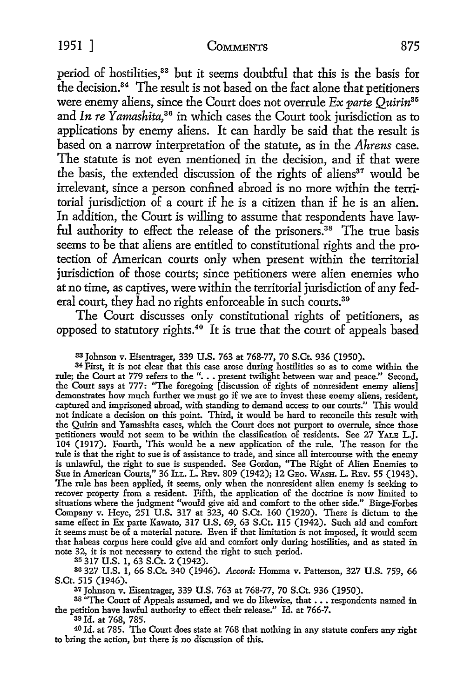period of hostilities,<sup>33</sup> but it seems doubtful that this is the basis for the decision.34 The result is not based on the fact alone that petitioners were enemy aliens, since the Court does not overrule *Ex parte Quirin35*  and *In re Yamashita,* 36 in which cases the Court took jurisdiction as to applications by enemy aliens. It can hardly be said that the result is based on a narrow interpretation of the statute, as in the *Ahrens* case. The statute is not even mentioned in the decision, and if that were the basis, the extended discussion of the rights of aliens<sup>37</sup> would be irrelevant, since a person confined abroad is no more within the territorial jurisdiction of a court if he is a citizen than if he is an alien. In addition, the Court is willing to assume that respondents have lawful authority to effect the release of the prisoners.<sup>38</sup> The true basis seems to be that aliens are entitled to constitutional rights and the protection of American courts only when present within the territorial jurisdiction of those courts; since petitioners were alien enemies who at no time, as captives, were within the territorial jurisdiction of any federal court, they had no rights enforceable in such courts.<sup>39</sup>

The Court discusses only constitutional rights of petitioners, as opposed to statutory rights.40 It is true that the court of appeals based

33 Johnson v. Eisentrager, 339 U.S. 763 at 768-77, 70 S.Ct. 936 (1950).

34 First, it is not clear that this case arose during hostilities so as to come within the rule; the Court at 779 refers to the "... present twilight between war and peace." Second, the Court says at 777: "The foregoing [discussion of rights of nonresident enemy aliens] demonstrates how much further we must go if we are to invest these enemy aliens, resident, captured and imprisoned abroad, with standing to demand access to our courts." This would not indicate a decision on this point. Third, it would be hard to reconcile this result with the Quirin and Yamashita cases, which the Court does not purport to overrule, since those petitioners would not seem to be within the classification of residents. See 27 YALE L.J. 104 (1917). Fourth, This would be a new application of the rule. The reason for the rule is that the right to sue is of assistance to trade, and since all intercourse with the enemy is unlawful, the right to sue is suspended. See Gordon, "The Right of Alien Enemies to Sue in American Courts," 36 ILL. L. REv. 809 (1942); 12 GEO. WASH. L. REv. 55 (1943). The rule has been applied, it seems, only when the nonresident alien enemy is seeking to recover property from a resident. Fifth, the application of the doctrine is now limited to situations where the judgment "would give aid and comfort to the other side." Birge-Forbes Company v. Heye, 251 U.S. 317 at 323, 40 S.Ct. 160 (1920). There is dictum to the same effect in Ex parte Kawato, 317 U.S. 69, 63 S.Ct. 115 (1942). Such aid and comfort it seems must be of a material nature. Even if that limitation is not imposed, it would seem that habeas corpus here could give aid and comfort only during hostilities, and as stated in note 32, it is not necessary to extend the right to such period.

35 317 U.S. 1, 63 S.Ct. 2 (1942).

so 327 U.S. 1, 66 S.Ct. 340 (1946). *Accord:* Homma v. Patterson, 327 U.S. 759, 66 S.Ct. 515 (1946).

37 Johnson v. Eisentrager, 339 U.S. 763 at 768-77, 70 S.Ct. 936 (1950).

38 "The Court of Appeals assumed, and we do likewise, that . . . respondents named in the petition have lawful authority to effect their release." Id. at 766-7.

39 Id. at 768, 785.

40 Id. at 785. The Court does state at 768 that nothing in any statute confers any right to bring the action, but there is no discussion of this.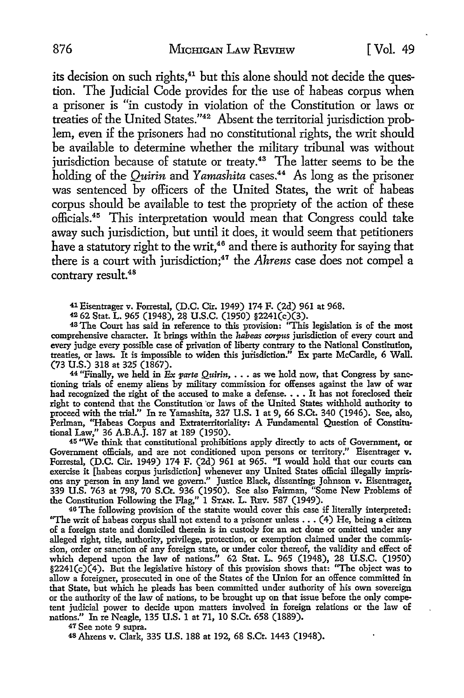its decision on such rights,<sup>41</sup> but this alone should not decide the question. The Judicial Code provides for the use of habeas corpus when a prisoner is "in custody in violation of the Constitution or laws or treaties of the United States."42 Absent the territorial jurisdiction problem, even if the prisoners had no constitutional rights, the writ should be available to determine whether the military tribunal was without jurisdiction because of statute or treaty.<sup>43</sup> The latter seems to be the holding of the *Quirin* and *Yamashita* cases.<sup>44</sup> As long as the prisoner was sentenced by officers of the United States, the writ of habeas corpus should be available to test the propriety of the action of these officials.45 This interpretation would mean that Congress could take away such jurisdiction, but until it does, it would seem that petitioners have a statutory right to the writ,<sup>46</sup> and there is authority for saying that there is a court with jurisdiction;47 the *Ahrens* case does not compel a contrary result.<sup>48</sup>

41 Eisentrager v. Forrestal, (D.C. Cir. 1949) 174 F. (2d) 961 at 968.

~ 62 Stat. L. 965 (1948), 28 U.S.C. (1950) §224l(c)(3).

<sup>43</sup>The Court has said in reference to this provision: "This legislation is of the most comprehensive character. It brings within the *habeas corpus* jurisdiction of every court and every judge every possible case of privation of liberty contrary to the National Constitution, treaties, or laws. It is impossible to widen this jurisdiction." Ex parte McCardle, 6 Wall. (73 U.S.) 318 at 325 (1867).

<sup>44</sup> "Finally, we held in *Ex parte Quirin*,  $\ldots$  as we hold now, that Congress by sanctioning trials of enemy aliens by military commission for offenses against the law of war had recognized the right of the accused to make a defense. • •• It has not foreclosed their right to contend that the Constitution 'or laws of the United States withhold authority to proceed with the trial." In re Yamashita, 327 U.S. l at 9, 66 S.Ct. 340 (1946). See, also, Perlman, "Habeas Corpus and Extraterritoriality: A Fundamental Question of Constitu• tional Law," 36 A.B.A.J. 187 at 189 (1950).

45 "We think that constitutional prohibitions apply directly to acts of Government, **or**  Government officials, and are not conditioned upon persons or territory." Eisentrager **v.**  Forrestal, (D.C. Cir. 1949) 174 F. (2d) 961 at 965. "I would hold that our courts can exercise **it** [habeas corpus jurisdiction] whenever any United States official illegally imprisons any person in any land we govern." Justice Black, dissenting; Johnson v. Eisentrager, 339 U.S. 763 at 798, 70 S.Ct. 936 (1950). See also Fairman, "Some New Problems of the Constitution Following the Flag," l STAN. L. REv. 587 (1949).

46 The following provision of the statute would cover this case if literally interpreted: "The writ of habeas corpus shall not extend to a prisoner unless  $\ldots$  (4) He, being a citizen of a foreign state and domiciled therein is in custody for an act done or omitted under any alleged right, title, authority, privilege, protection, or exemption claimed under the commission, order or sanction of any foreign state, or under color thereof, the validity and effect of which depend upon the law of nations." 62 Stat. L. 965 (1948), 28 U.S.C. (1950)  $$2241(c)(4)$ . But the legislative history of this provision shows that: "The object was to allow a foreigner, prosecuted in one of the States of the Union for an offence committed in that State, but which he pleads has been committed under authority of his own sovereign or the authority of the law of nations, to be brought up on that issue before the only competent judicial power to decide upon matters involved in foreign relations or the law of nations." In re Neagle, 135 U.S. l at 71, 10 S.Ct. 658 (1889).

47 See note 9 supra.

48Ahrens v. Clark, 335 U.S. 188 at 192, 68 S.Ct. 1443 (1948).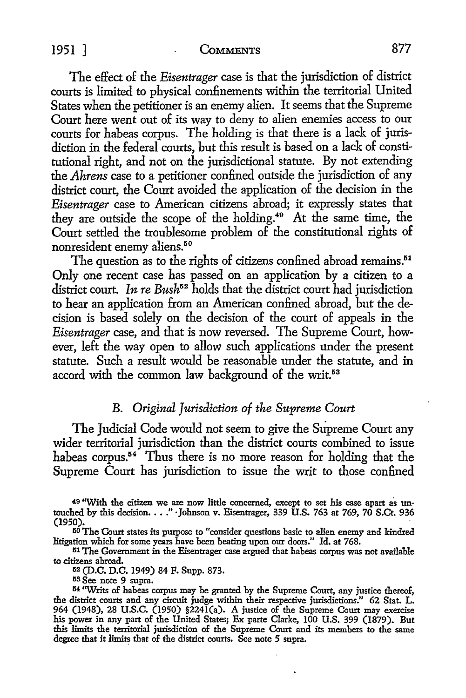#### 1951 ] **CoMMENTS** 877

The effect of the *Eisentrager* case is that the jurisdiction of district courts is limited to physical confinements within the territorial United States when the petitioner is an enemy alien. It seems that the Supreme Court here went out of its way to deny to alien enemies access to our courts for habeas corpus. The holding is that there is a lack of jurisdiction in the federal courts, but this result is based on a lack of constitutional right, and not on the jurisdictional statute. By not extending the *Ahrens* case *to* a petitioner confined outside the jurisdiction of any district court, the Court avoided the application of the decision in the *Eisentrager* case *to* American citizens abroad; it expressly states that they are outside the scope of the holding.40 At the same time, the Court settled the troublesome problem of the constitutional rights of nonresident enemy aliens.<sup>50</sup>

The question as to the rights of citizens confined abroad remains.<sup>51</sup> Only one recent case has passed on an application by a citizen *to* a district court. *In re Bush*<sup>52</sup> holds that the district court had jurisdiction *to* hear an application from an American confined abroad, but the decision is based solely on the decision of the court of appeals in the *Eisentrager* case, and that is now reversed. The Supreme Court, however, left the way open *to* allow such applications under the present statute. Such a result would be reasonable under the statute, and in accord with the common law background of the writ.<sup>53</sup>

## B. *Original Jurisdiction of the Supreme Court*

The Judicial Code would *not* seem *to* give the Supreme Court any wider territorial jurisdiction than the district courts combined *to* issue habeas corpus.<sup> $54$ </sup> Thus there is no more reason for holding that the Supreme Court has jurisdiction *to* issue the writ to those confined

*to* citizens abroad. 112 (D.C. D.C. 1949) 84 F. Supp. 873.

53 See note 9 supra.

<sup>40 &</sup>quot;With the citizen we are now little concerned, except to set his case apart as un-touched by this decision •••. " • Johnson v. Eisentrager, 339 U.S. 763 at 769, 70 S.Ct. 936 (1950).

<sup>50</sup>The Court states its pmpose to "consider questions basic to alien enemy and kindred litigation which for some years have been beating upon our doors." Id. at 768.

<sup>&</sup>lt;sup>51</sup> The Government in the Eisentrager case argued that habeas corpus was not available to citizens abroad.

<sup>&</sup>lt;sup>54</sup> "Writs of habeas corpus may be granted by the Supreme Court, any justice thereof, the district courts and any circuit judge within their respective jurisdictions." 62 Stat. L. 964 (1948), 28 U.S.C. (1950) §224l(a). A justice of the Supreme Court may exercise his power in any part of the United States; Ex parte Clarke, 100 U.S. 399 (1879). But this limits the territorial jurisdiction of the Supreme Court and its members to the same degree that it limits that of the district courts. See note 5 supra.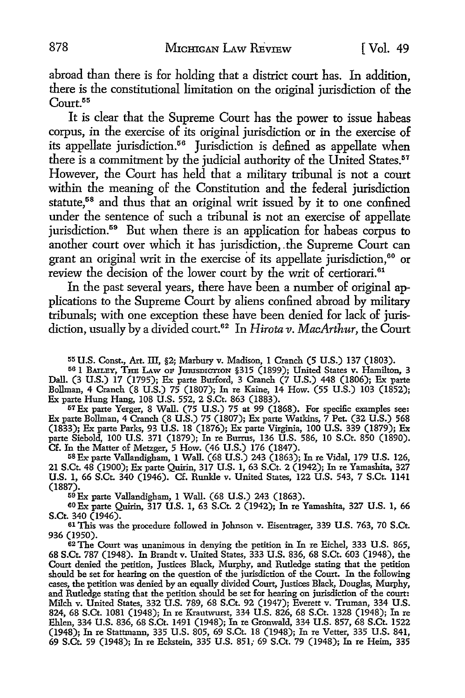abroad than there is for holding that a district court has. In addition, there is the constitutional limitation on the original jurisdiction of the Court.<sup>55</sup>

It is clear that the Supreme Court has the power *to* issue habeas corpus, in the exercise of its original jurisdiction or in the exercise of its appellate jurisdiction.<sup>56</sup> Jurisdiction is defined as appellate when there is a commitment by the judicial authority of the United States.<sup>57</sup> However, the Court has held that a military tribunal is not a court within the meaning of the Constitution and the federal jurisdiction statute,<sup>58</sup> and thus that an original writ issued by it to one confined under the sentence of such a tribunal is not an exercise of appellate jurisdiction.<sup>59</sup> But when there is an application for habeas corpus to another court over which it has jurisdiction, . the Supreme Court can grant an original writ in the exercise of its appellate jurisdiction, 60 or review the decision of the lower court by the writ of certiorari.<sup>61</sup>

In the past several years, there have been a number of original applications to the Supreme Court by aliens confined abroad by military tribunals; with one exception these have been denied for lack of jurisdiction, usually by a divided court.62 In *Hirota v. MacArthur,* the Court

55 U.S. Const., Art. ill, §2; Marbury v. Madison, 1 Cranch (5 U.S.) 137 (1803).

56 1 BAILEY, THE LAW OF JURISDICTION §315 (1899); United States v. Hamilton, 3 Dall. (3 U.S.) 17 (1795); Ex parte Burford, 3 Cranch (7 U.S.) 448 (1806); Ex parte Bollman, 4 Cranch (8 U.S.) 75 (1807); In re Kaine, 14 How. (55 U.S.) 103 (1852); Ex parte Hung Hang, 108 U.S. 552, 2 S.Ct. 863 (1883).

57Ex parte Yerger, 8 Wall. (75 U.S.) 75 at 99 (1868). For specific examples see: Ex parte Bollman, 4 Cranch (8 U.S.) 75 (1807); Ex parte Watkins, 7 Pet. (32 U.S.) 568 (1833); Ex parte Parks, 93 U.S. 18 (1876); Ex parte Virginia, 100 U.S. 339 (1879); Ex parte Siebold, 100 U.S. 371 (1879); In re Burrus, 136 U.S. 586, 10 S.Ct. 850 (1890). Cf. In the Matter of Metzger, 5 How. (46 U.S.) 176 (1847).

68Exparte Vallandigham, 1 Wall. (68 U.S.) 243 (1863); In re Vidal, 179 U.S. 126, 21 S.Ct. 48 (1900); Ex parte Quirin, 317 U.S. 1, 63 S.Ct. 2 (1942); In re Yamashita, 327 U.S. 1, 66 S.Ct. 340 (1946). Cf. Runkle v. United States, 122 U.S. 543, 7 S.Ct. 1141 (1887).

59Ex parte Vallandigham, 1 Wall. (68 U.S.) 243 (1863).

60Ex parte Quirin, 317 U.S. 1, 63 S.Ct. 2 (1942); In re Yamashita, 327 U.S. 1, 66 S.Ct. 340 (1946).

61 This was the procedure followed in Johnson v. Eisentrager, 339 U.S. 763, 70 S.Ct. 936 (1950).

62 The Court was unanimous in denying the petition in In re Eichel, 333 U.S. 865, 68 S.Ct. 787 (1948). In Brandt v. United States, 333 U.S. 836, 68 S.Ct. 603 (1948), the Court denied the petition, Justices Black, Murphy, and Rutledge stating that the petition should be set for hearing on the question of the jurisdiction of the Court. In the following cases, the petition was denied by an equally divided Court, Justices Black, Douglas, Murphy, and Rutledge stating that the petition should be set for hearing on jurisdiction of the court: Milch v. United States, 332 U.S. 789, 68 S.Ct. 92 (1947); Everett v. Truman, 334 U.S. 824, 68 S.Ct. 1081 (1948); In re Krautwurst, 334 U.S. 826, 68 S.Ct. 1328 (1948); In re Ehlen, 334 U.S. 836, 68 S.Ct. 1491 (1948); In re Gronwald, 334 U.S. 857, 68 S.Ct. 1522 (1948); In re Stattmann, 335 U.S. 805, 69 S.Ct. 18 (1948); In re Vetter, 335 U.S. 841, 69 S.Ct. 59 (1948); In re Eckstein, 335 U.S. 851; 69 S.Ct. 79 (1948); In re Heim, 335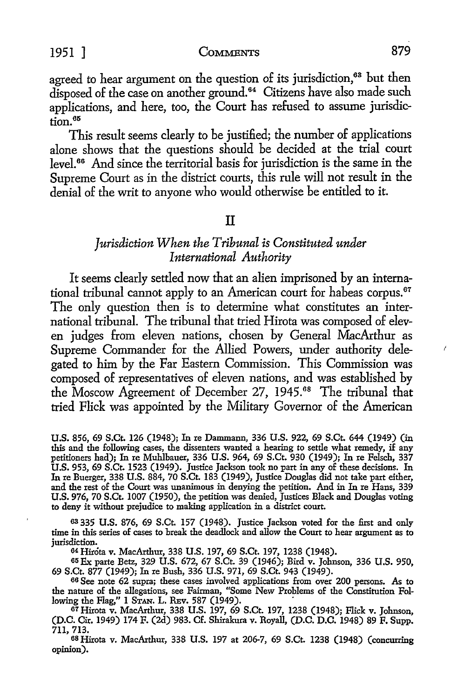agreed to hear argument on the question of its jurisdiction,<sup>63</sup> but then disposed of the case on another ground.<sup>64</sup> Citizens have also made such applications, and here, too, the Court has refused *to* assume jurisdic- $\overline{\text{tion}}$ .  $^{65}$ 

This result seems clearly to be justified; the number of applications alone shows that the questions should be decided at the trial court level. 66 And since the territorial basis for jurisdiction is the same in the Supreme Court as in the district courts, this rule will not result in the denial of the writ to anyone who would otherwise be entitled to it.

#### II

## *Jurisdiction When the Tribunal is Constituted under International Authority*

It seems clearly settled now that an alien imprisoned by an international tribunal cannot apply to an American court for habeas corpus.<sup>67</sup> The only question then is to determine what constitutes an international tribunal. The tribunal that tried Hirota was composed of eleven judges from eleven nations, chosen by General MacArthur as Supreme Commander for the Allied Powers, under authority delegated to him by the Far Eastern Commission. This Commission was composed of representatives of eleven nations, and was established by the Moscow Agreement of December 27, 1945.<sup>68</sup> The tribunal that tried Flick was appointed by the Military Governor of the American

U.S. 856, 69 S.Ct. 126 (1948); In re Dammann, 336 U.S. 922, 69 S.Ct. 644 (1949) (in this and the following cases, the dissenters wanted a hearing to settle what remedy, if any petitioners had); In re Muhlbauer, 336 U.S. 964, 69 S.Ct. 930 (1949); In re Felsch, 337 **U.S.** 953, 69 S.Ct. 1523 (1949). Justice Jackson took no part in any of these decisions. In In re Buerger, 338 U.S. 884, 70 S.Ct. 183 (1949), Justice Douglas did not take part either, and the rest of the Court was unanimous in denying the petition. And in In re Hans, 339 U.S. 976, 70 S.Ct. 1007 (1950), the petition was denied, Justices Black and Douglas voting to deny it without prejudice to making application in a district court.

63 335 U.S. 876, 69 S.Ct. 157 (1948). Justice Jackson voted for the first and only time in this series of cases to break the deadlock and allow the Court to hear argument as to jurisdiction.

64 Hirota v. MacArthur, 338 U.S. 197, 69 S.Ct. 197, 1238 (1948).

65 Ex parte Betz, 329 U.S. 672, 67 S.Ct. 39 (1946); Bird v. Johnson, 336 U.S. 950, 69 S.Ct. 877 (1949); In re Bush, 336 U.S. 971, 69 S.Ct. 943 (1949).

66 See note 62 supra; these cases involved applications from over 200 persons. As to the nature of the allegations, see Fairman, "Some New Problems of the Constitution Following the Flag," 1 STAN, L. REv. 587 (1949). .

67 Hirota v. MacArthur, 338 U.S. 197, 69 S.Ct. 197, 1238 (1948); Flick v. Johnson, (D.C. Cir. 1949) 174 F. (2d) 983. Cf. Shirakura v. Royall, (D.C. D.C. 1948) 89 F. Supp. 711, 713.

<sup>68</sup>Hirota v. MacArthur, 338 U.S. 197 at 206-7, 69 S.Ct. 1238 (1948) (concurring opinion).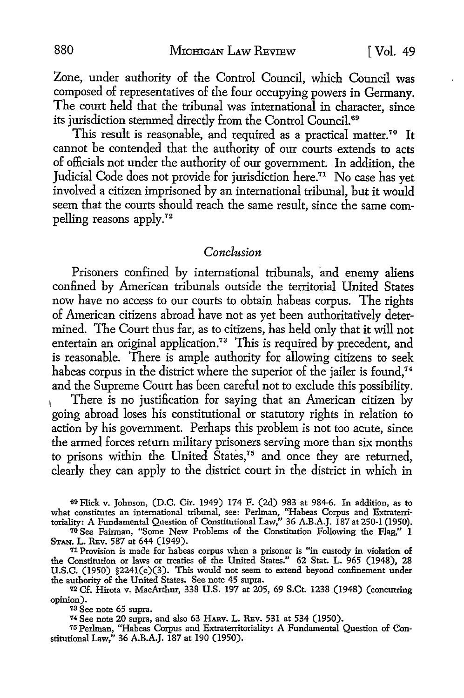Zone, under authority of the Control Council, which Council was composed of representatives of the four occupying powers in Germany. The court held that the tribunal was international in character, since its jurisdiction stemmed directly from the Control Council.<sup>69</sup>

This result is reasonable, and required as a practical matter.<sup>70</sup> It cannot be contended that the authority of our courts extends to acts of officials not under the authority of our government. In addition, the Judicial Code does not provide for jurisdiction here.<sup>71</sup> No case has yet involved a citizen imprisoned by an international tribunal, but it would seem that the courts should reach the same result, since the same compelling reasons apply.72

#### *Conclusion*

Prisoners confined by international tribunals, and enemy aliens confined by American tribunals outside the territorial United States now have no access to our courts to obtain habeas corpus. The rights of American citizens abroad have not as yet been authoritatively determined. The Court thus far, as to citizens, has held only that it will not entertain an original application.<sup>73</sup> This is required by precedent, and is reasonable. There is ample authority for allowing citizens to seek habeas corpus in the district where the superior of the jailer is found.<sup>74</sup> and the Supreme Court has been careful not to exclude this possibility.

There is no justification for saying that an American citizen by going abroad loses his constitutional or statutory rights in relation to action by his government. Perhaps this problem is not too acute, since the armed forces return military prisoners serving more than six months to prisons within the United States,<sup>75</sup> and once they are returned, clearly they can apply to the district court in the district in which in

69Flick v. Johnson, (D.C. Cir. 1949) 174 F. (2d) 983 at 984-6. In addition, as to what constitutes an international tribunal, see: Perlman, "Habeas Corpus and Extraterritoriality: A Fundamental Question of Constitutional Law,'' 36 A.B.A.J. 187 at 250-1 (1950).

70 See Fairman, "Some New Problems of the Constitution Following the Flag," 1 STAN. L. REv. 587 at 644 (1949).

<sup>71</sup>Provision is made for habeas corpus when a prisoner is "in custody in violation of the Constitution or laws or treaties of the United States." 62 Stat. L. 965 (1948), 28 U.S.C. (1950) §224l(c)(3). This would not seem to extend beyond confinement under the authority of the United States. See note 45 supra.

72 Cf. Hirota v. MacArthur, 338 U.S. 197 at 205, 69 S.Ct. 1238 (1948) (concurring opinion).

<sup>78</sup>See note 65 supra.

74 See note 20 supra, and also 63 HARv. L. REv. 531 at 534 (1950).

75 Perlman, "Habeas Corpus and Extraterritoriality: A Fundamental Question of Constitutional Law," 36 A.B.A.J. 187 at 190 (1950).